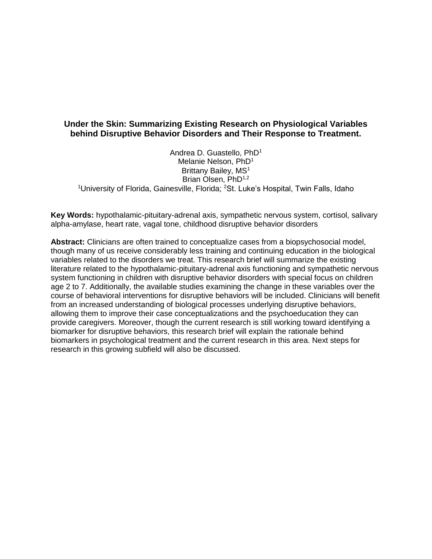# **Under the Skin: Summarizing Existing Research on Physiological Variables behind Disruptive Behavior Disorders and Their Response to Treatment.**

Andrea D. Guastello, PhD<sup>1</sup> Melanie Nelson, PhD<sup>1</sup> Brittany Bailey, MS<sup>1</sup> Brian Olsen, PhD<sup>1,2</sup> <sup>1</sup>University of Florida, Gainesville, Florida; <sup>2</sup>St. Luke's Hospital, Twin Falls, Idaho

**Key Words:** hypothalamic-pituitary-adrenal axis, sympathetic nervous system, cortisol, salivary alpha-amylase, heart rate, vagal tone, childhood disruptive behavior disorders

**Abstract:** Clinicians are often trained to conceptualize cases from a biopsychosocial model, though many of us receive considerably less training and continuing education in the biological variables related to the disorders we treat. This research brief will summarize the existing literature related to the hypothalamic-pituitary-adrenal axis functioning and sympathetic nervous system functioning in children with disruptive behavior disorders with special focus on children age 2 to 7. Additionally, the available studies examining the change in these variables over the course of behavioral interventions for disruptive behaviors will be included. Clinicians will benefit from an increased understanding of biological processes underlying disruptive behaviors, allowing them to improve their case conceptualizations and the psychoeducation they can provide caregivers. Moreover, though the current research is still working toward identifying a biomarker for disruptive behaviors, this research brief will explain the rationale behind biomarkers in psychological treatment and the current research in this area. Next steps for research in this growing subfield will also be discussed.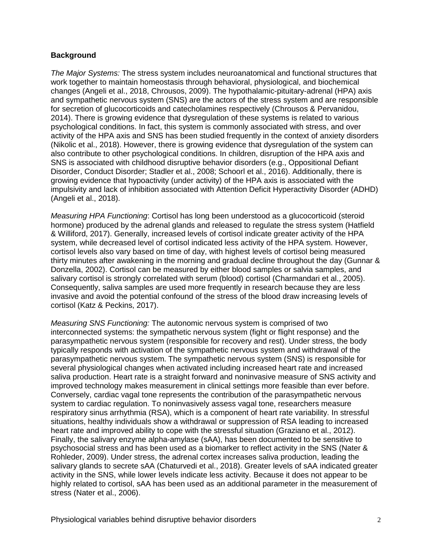## **Background**

*The Major Systems:* The stress system includes neuroanatomical and functional structures that work together to maintain homeostasis through behavioral, physiological, and biochemical changes (Angeli et al., 2018, Chrousos, 2009). The hypothalamic-pituitary-adrenal (HPA) axis and sympathetic nervous system (SNS) are the actors of the stress system and are responsible for secretion of glucocorticoids and catecholamines respectively (Chrousos & Pervanidou, 2014). There is growing evidence that dysregulation of these systems is related to various psychological conditions. In fact, this system is commonly associated with stress, and over activity of the HPA axis and SNS has been studied frequently in the context of anxiety disorders (Nikolic et al., 2018). However, there is growing evidence that dysregulation of the system can also contribute to other psychological conditions. In children, disruption of the HPA axis and SNS is associated with childhood disruptive behavior disorders (e.g., Oppositional Defiant Disorder, Conduct Disorder; Stadler et al., 2008; Schoorl et al., 2016). Additionally, there is growing evidence that hypoactivity (under activity) of the HPA axis is associated with the impulsivity and lack of inhibition associated with Attention Deficit Hyperactivity Disorder (ADHD) (Angeli et al., 2018).

*Measuring HPA Functioning*: Cortisol has long been understood as a glucocorticoid (steroid hormone) produced by the adrenal glands and released to regulate the stress system (Hatfield & Williford, 2017). Generally, increased levels of cortisol indicate greater activity of the HPA system, while decreased level of cortisol indicated less activity of the HPA system. However, cortisol levels also vary based on time of day, with highest levels of cortisol being measured thirty minutes after awakening in the morning and gradual decline throughout the day (Gunnar & Donzella, 2002). Cortisol can be measured by either blood samples or salvia samples, and salivary cortisol is strongly correlated with serum (blood) cortisol (Charmandari et al., 2005). Consequently, saliva samples are used more frequently in research because they are less invasive and avoid the potential confound of the stress of the blood draw increasing levels of cortisol (Katz & Peckins, 2017).

*Measuring SNS Functioning:* The autonomic nervous system is comprised of two interconnected systems: the sympathetic nervous system (fight or flight response) and the parasympathetic nervous system (responsible for recovery and rest). Under stress, the body typically responds with activation of the sympathetic nervous system and withdrawal of the parasympathetic nervous system. The sympathetic nervous system (SNS) is responsible for several physiological changes when activated including increased heart rate and increased saliva production. Heart rate is a straight forward and noninvasive measure of SNS activity and improved technology makes measurement in clinical settings more feasible than ever before. Conversely, cardiac vagal tone represents the contribution of the parasympathetic nervous system to cardiac regulation. To noninvasively assess vagal tone, researchers measure respiratory sinus arrhythmia (RSA), which is a component of heart rate variability. In stressful situations, healthy individuals show a withdrawal or suppression of RSA leading to increased heart rate and improved ability to cope with the stressful situation (Graziano et al., 2012). Finally, the salivary enzyme alpha-amylase (sAA), has been documented to be sensitive to psychosocial stress and has been used as a biomarker to reflect activity in the SNS (Nater & Rohleder, 2009). Under stress, the adrenal cortex increases saliva production, leading the salivary glands to secrete sAA (Chaturvedi et al., 2018). Greater levels of sAA indicated greater activity in the SNS, while lower levels indicate less activity. Because it does not appear to be highly related to cortisol, sAA has been used as an additional parameter in the measurement of stress (Nater et al., 2006).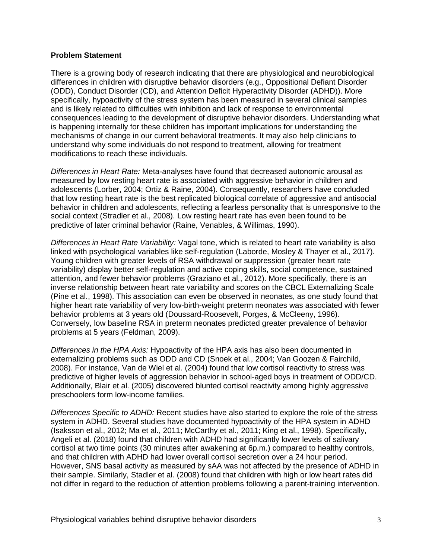#### **Problem Statement**

There is a growing body of research indicating that there are physiological and neurobiological differences in children with disruptive behavior disorders (e.g., Oppositional Defiant Disorder (ODD), Conduct Disorder (CD), and Attention Deficit Hyperactivity Disorder (ADHD)). More specifically, hypoactivity of the stress system has been measured in several clinical samples and is likely related to difficulties with inhibition and lack of response to environmental consequences leading to the development of disruptive behavior disorders. Understanding what is happening internally for these children has important implications for understanding the mechanisms of change in our current behavioral treatments. It may also help clinicians to understand why some individuals do not respond to treatment, allowing for treatment modifications to reach these individuals.

*Differences in Heart Rate:* Meta-analyses have found that decreased autonomic arousal as measured by low resting heart rate is associated with aggressive behavior in children and adolescents (Lorber, 2004; Ortiz & Raine, 2004). Consequently, researchers have concluded that low resting heart rate is the best replicated biological correlate of aggressive and antisocial behavior in children and adolescents, reflecting a fearless personality that is unresponsive to the social context (Stradler et al., 2008). Low resting heart rate has even been found to be predictive of later criminal behavior (Raine, Venables, & Willimas, 1990).

*Differences in Heart Rate Variability:* Vagal tone, which is related to heart rate variability is also linked with psychological variables like self-regulation (Laborde, Mosley & Thayer et al., 2017). Young children with greater levels of RSA withdrawal or suppression (greater heart rate variability) display better self-regulation and active coping skills, social competence, sustained attention, and fewer behavior problems (Graziano et al., 2012). More specifically, there is an inverse relationship between heart rate variability and scores on the CBCL Externalizing Scale (Pine et al., 1998). This association can even be observed in neonates, as one study found that higher heart rate variability of very low-birth-weight preterm neonates was associated with fewer behavior problems at 3 years old (Doussard-Roosevelt, Porges, & McCleeny, 1996). Conversely, low baseline RSA in preterm neonates predicted greater prevalence of behavior problems at 5 years (Feldman, 2009).

*Differences in the HPA Axis:* Hypoactivity of the HPA axis has also been documented in externalizing problems such as ODD and CD (Snoek et al., 2004; Van Goozen & Fairchild, 2008). For instance, Van de Wiel et al. (2004) found that low cortisol reactivity to stress was predictive of higher levels of aggression behavior in school-aged boys in treatment of ODD/CD. Additionally, Blair et al. (2005) discovered blunted cortisol reactivity among highly aggressive preschoolers form low-income families.

*Differences Specific to ADHD:* Recent studies have also started to explore the role of the stress system in ADHD. Several studies have documented hypoactivity of the HPA system in ADHD (Isaksson et al., 2012; Ma et al., 2011; McCarthy et al., 2011; King et al., 1998). Specifically, Angeli et al. (2018) found that children with ADHD had significantly lower levels of salivary cortisol at two time points (30 minutes after awakening at 6p.m.) compared to healthy controls, and that children with ADHD had lower overall cortisol secretion over a 24 hour period. However, SNS basal activity as measured by sAA was not affected by the presence of ADHD in their sample. Similarly, Stadler et al. (2008) found that children with high or low heart rates did not differ in regard to the reduction of attention problems following a parent-training intervention.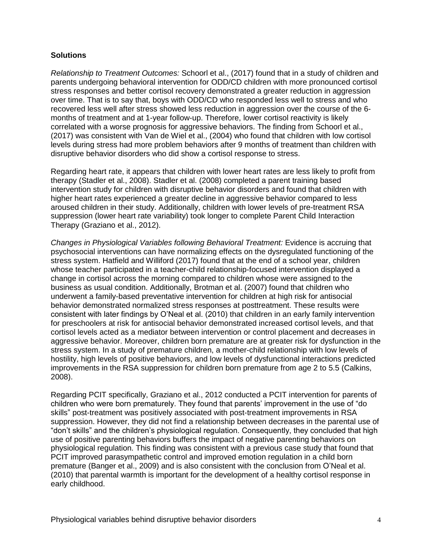### **Solutions**

*Relationship to Treatment Outcomes:* Schoorl et al., (2017) found that in a study of children and parents undergoing behavioral intervention for ODD/CD children with more pronounced cortisol stress responses and better cortisol recovery demonstrated a greater reduction in aggression over time. That is to say that, boys with ODD/CD who responded less well to stress and who recovered less well after stress showed less reduction in aggression over the course of the 6 months of treatment and at 1-year follow-up. Therefore, lower cortisol reactivity is likely correlated with a worse prognosis for aggressive behaviors. The finding from Schoorl et al., (2017) was consistent with Van de Wiel et al., (2004) who found that children with low cortisol levels during stress had more problem behaviors after 9 months of treatment than children with disruptive behavior disorders who did show a cortisol response to stress.

Regarding heart rate, it appears that children with lower heart rates are less likely to profit from therapy (Stadler et al., 2008). Stadler et al. (2008) completed a parent training based intervention study for children with disruptive behavior disorders and found that children with higher heart rates experienced a greater decline in aggressive behavior compared to less aroused children in their study. Additionally, children with lower levels of pre-treatment RSA suppression (lower heart rate variability) took longer to complete Parent Child Interaction Therapy (Graziano et al., 2012).

*Changes in Physiological Variables following Behavioral Treatment:* Evidence is accruing that psychosocial interventions can have normalizing effects on the dysregulated functioning of the stress system. Hatfield and Williford (2017) found that at the end of a school year, children whose teacher participated in a teacher-child relationship-focused intervention displayed a change in cortisol across the morning compared to children whose were assigned to the business as usual condition. Additionally, Brotman et al. (2007) found that children who underwent a family-based preventative intervention for children at high risk for antisocial behavior demonstrated normalized stress responses at posttreatment. These results were consistent with later findings by O'Neal et al. (2010) that children in an early family intervention for preschoolers at risk for antisocial behavior demonstrated increased cortisol levels, and that cortisol levels acted as a mediator between intervention or control placement and decreases in aggressive behavior. Moreover, children born premature are at greater risk for dysfunction in the stress system. In a study of premature children, a mother-child relationship with low levels of hostility, high levels of positive behaviors, and low levels of dysfunctional interactions predicted improvements in the RSA suppression for children born premature from age 2 to 5.5 (Calkins, 2008).

Regarding PCIT specifically, Graziano et al., 2012 conducted a PCIT intervention for parents of children who were born prematurely. They found that parents' improvement in the use of "do skills" post-treatment was positively associated with post-treatment improvements in RSA suppression. However, they did not find a relationship between decreases in the parental use of "don't skills" and the children's physiological regulation. Consequently, they concluded that high use of positive parenting behaviors buffers the impact of negative parenting behaviors on physiological regulation. This finding was consistent with a previous case study that found that PCIT improved parasympathetic control and improved emotion regulation in a child born premature (Banger et al., 2009) and is also consistent with the conclusion from O'Neal et al. (2010) that parental warmth is important for the development of a healthy cortisol response in early childhood.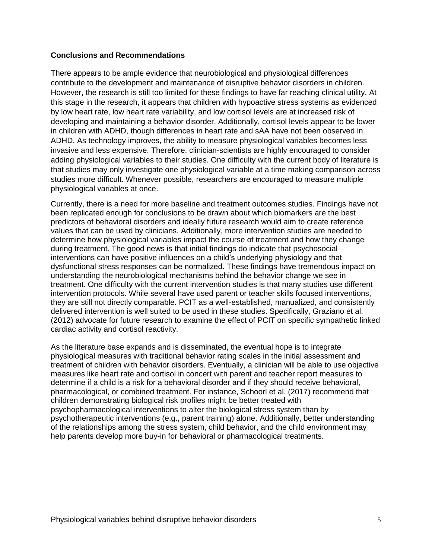#### **Conclusions and Recommendations**

There appears to be ample evidence that neurobiological and physiological differences contribute to the development and maintenance of disruptive behavior disorders in children. However, the research is still too limited for these findings to have far reaching clinical utility. At this stage in the research, it appears that children with hypoactive stress systems as evidenced by low heart rate, low heart rate variability, and low cortisol levels are at increased risk of developing and maintaining a behavior disorder. Additionally, cortisol levels appear to be lower in children with ADHD, though differences in heart rate and sAA have not been observed in ADHD. As technology improves, the ability to measure physiological variables becomes less invasive and less expensive. Therefore, clinician-scientists are highly encouraged to consider adding physiological variables to their studies. One difficulty with the current body of literature is that studies may only investigate one physiological variable at a time making comparison across studies more difficult. Whenever possible, researchers are encouraged to measure multiple physiological variables at once.

Currently, there is a need for more baseline and treatment outcomes studies. Findings have not been replicated enough for conclusions to be drawn about which biomarkers are the best predictors of behavioral disorders and ideally future research would aim to create reference values that can be used by clinicians. Additionally, more intervention studies are needed to determine how physiological variables impact the course of treatment and how they change during treatment. The good news is that initial findings do indicate that psychosocial interventions can have positive influences on a child's underlying physiology and that dysfunctional stress responses can be normalized. These findings have tremendous impact on understanding the neurobiological mechanisms behind the behavior change we see in treatment. One difficulty with the current intervention studies is that many studies use different intervention protocols. While several have used parent or teacher skills focused interventions, they are still not directly comparable. PCIT as a well-established, manualized, and consistently delivered intervention is well suited to be used in these studies. Specifically, Graziano et al. (2012) advocate for future research to examine the effect of PCIT on specific sympathetic linked cardiac activity and cortisol reactivity.

As the literature base expands and is disseminated, the eventual hope is to integrate physiological measures with traditional behavior rating scales in the initial assessment and treatment of children with behavior disorders. Eventually, a clinician will be able to use objective measures like heart rate and cortisol in concert with parent and teacher report measures to determine if a child is a risk for a behavioral disorder and if they should receive behavioral, pharmacological, or combined treatment. For instance, Schoorl et al. (2017) recommend that children demonstrating biological risk profiles might be better treated with psychopharmacological interventions to alter the biological stress system than by psychotherapeutic interventions (e.g., parent training) alone. Additionally, better understanding of the relationships among the stress system, child behavior, and the child environment may help parents develop more buy-in for behavioral or pharmacological treatments.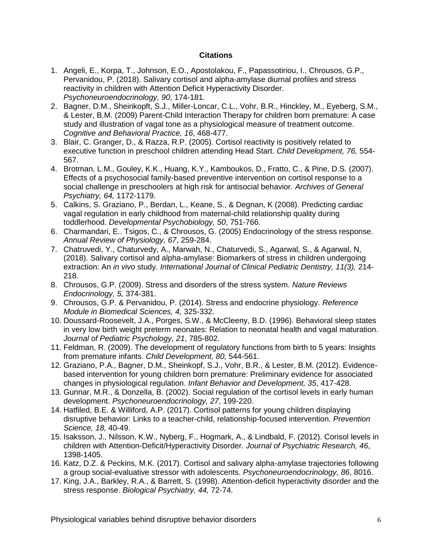### **Citations**

- 1. Angeli, E., Korpa, T., Johnson, E.O., Apostolakou, F., Papassotiriou, I., Chrousos, G.P., Pervanidou, P. (2018). Salivary cortisol and alpha-amylase diurnal profiles and stress reactivity in children with Attention Deficit Hyperactivity Disorder. *Psychoneuroendocrinology, 90*, 174-181.
- 2. Bagner, D.M., Sheinkopft, S.J., Miller-Loncar, C.L., Vohr, B.R., Hinckley, M., Eyeberg, S.M., & Lester, B.M. (2009) Parent-Child Interaction Therapy for children born premature: A case study and illustration of vagal tone as a physiological measure of treatment outcome. *Cognitive and Behavioral Practice, 16*, 468-477.
- 3. Blair, C. Granger, D., & Razza, R.P. (2005). Cortisol reactivity is positively related to executive function in preschool children attending Head Start. *Child Development, 76,* 554- 567.
- 4. Brotman, L.M., Gouley, K.K., Huang, K.Y., Kamboukos, D., Fratto, C., & Pine, D.S. (2007). Effects of a psychosocial family-based preventive intervention on cortisol response to a social challenge in preschoolers at high risk for antisocial behavior. *Archives of General Psychiatry, 64,* 1172-1179.
- 5. Calkins, S. Graziano, P., Berdan, L., Keane, S., & Degnan, K (2008). Predicting cardiac vagal regulation in early childhood from maternal-child relationship quality during toddlerhood. *Developmental Psychobiology, 50*, 751-766.
- 6. Charmandari, E.. Tsigos, C., & Chrousos, G. (2005) Endocrinology of the stress response. *Annual Review of Physiology, 67*, 259-284.
- 7. Chatruvedi, Y., Chaturvedy, A., Marwah, N., Chaturvedi, S., Agarwal, S., & Agarwal, N, (2018). Salivary cortisol and alpha-amylase: Biomarkers of stress in children undergoing extraction: An *in vivo* study. *International Journal of Clinical Pediatric Dentistry, 11(3),* 214- 218.
- 8. Chrousos, G.P. (2009). Stress and disorders of the stress system. *Nature Reviews Endocrinology, 5,* 374-381.
- 9. Chrousos, G.P. & Pervanidou, P. (2014). Stress and endocrine physiology. *Reference Module in Biomedical Sciences, 4,* 325-332.
- 10. Doussard-Roosevelt, J.A., Porges, S.W., & McCleeny, B.D. (1996). Behavioral sleep states in very low birth weight preterm neonates: Relation to neonatal health and vagal maturation. *Journal of Pediatric Psychology, 21*, 785-802.
- 11. Feldman, R. (2009). The development of regulatory functions from birth to 5 years: Insights from premature infants. *Child Development, 80,* 544-561.
- 12. Graziano, P.A., Bagner, D.M., Sheinkopf, S.J., Vohr, B.R., & Lester, B.M. (2012). Evidencebased intervention for young children born premature: Preliminary evidence for associated changes in physiological regulation. *Infant Behavior and Development, 35*, 417-428.
- 13. Gunnar, M.R., & Donzella, B. (2002). Social regulation of the cortisol levels in early human development. *Psychoneuroendocrinology, 27*, 199-220.
- 14. Hatfiled, B.E. & Williford, A.P. (2017). Cortisol patterns for young children displaying disruptive behavior: Links to a teacher-child, relationship-focused intervention. *Prevention Science, 18,* 40-49.
- 15. Isaksson, J., Nilsson, K.W., Nyberg, F., Hogmark, A., & Lindbald, F. (2012). Corisol levels in children with Attention-Deficit/Hyperactivity Disorder. *Journal of Psychiatric Research, 46*, 1398-1405.
- 16. Katz, D.Z. & Peckins, M.K. (2017). Cortisol and salivary alpha-amylase trajectories following a group social-evaluative stressor with adolescents. *Psychoneuroendocrinology, 86*, 8016.
- 17. King, J.A., Barkley, R.A., & Barrett, S. (1998). Attention-deficit hyperactivity disorder and the stress response. *Biological Psychiatry, 44,* 72-74.